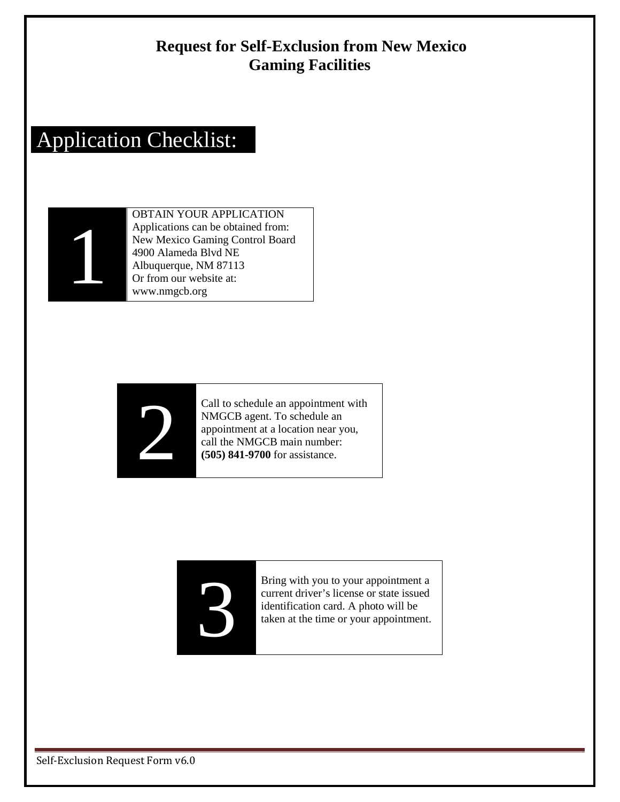#### **Request for Self-Exclusion from New Mexico Gaming Facilities**

# Application Checklist:



OBTAIN YOUR APPLICATION Applications can be obtained from: New Mexico Gaming Control Board 4900 Alameda Blvd NE Albuquerque, NM 87113 Or from our website at: www.nmgcb.org



Call to schedule an appointment with<br>
NMGCB agent. To schedule an<br>
appointment at a location near you,<br>
call the NMGCB main number:<br>
(505) 841-9700 for assistance. NMGCB agent. To schedule an appointment at a location near you, call the NMGCB main number: **(505) 841-9700** for assistance.



Bring with you to your appointment a<br>current driver's license or state issued<br>identification card. A photo will be<br>taken at the time or your appointment. current driver's license or state issued identification card. A photo will be taken at the time or your appointment.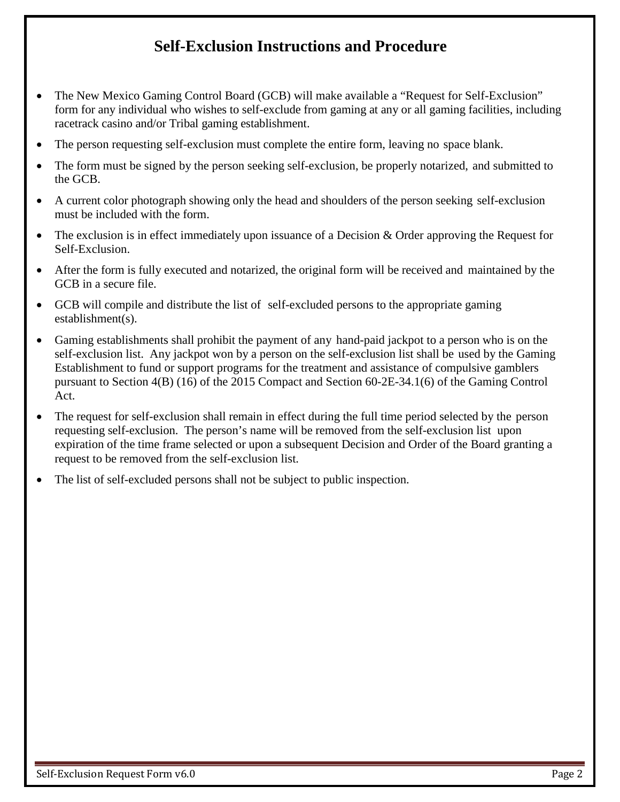### **Self-Exclusion Instructions and Procedure**

- The New Mexico Gaming Control Board (GCB) will make available a "Request for Self-Exclusion" form for any individual who wishes to self-exclude from gaming at any or all gaming facilities, including racetrack casino and/or Tribal gaming establishment.
- The person requesting self-exclusion must complete the entire form, leaving no space blank.
- The form must be signed by the person seeking self-exclusion, be properly notarized, and submitted to the GCB.
- A current color photograph showing only the head and shoulders of the person seeking self-exclusion must be included with the form.
- The exclusion is in effect immediately upon issuance of a Decision & Order approving the Request for Self-Exclusion.
- After the form is fully executed and notarized, the original form will be received and maintained by the GCB in a secure file.
- GCB will compile and distribute the list of self-excluded persons to the appropriate gaming establishment(s).
- Gaming establishments shall prohibit the payment of any hand-paid jackpot to a person who is on the self-exclusion list. Any jackpot won by a person on the self-exclusion list shall be used by the Gaming Establishment to fund or support programs for the treatment and assistance of compulsive gamblers pursuant to Section 4(B) (16) of the 2015 Compact and Section 60-2E-34.1(6) of the Gaming Control Act.
- The request for self-exclusion shall remain in effect during the full time period selected by the person requesting self-exclusion. The person's name will be removed from the self-exclusion list upon expiration of the time frame selected or upon a subsequent Decision and Order of the Board granting a request to be removed from the self-exclusion list.
- The list of self-excluded persons shall not be subject to public inspection.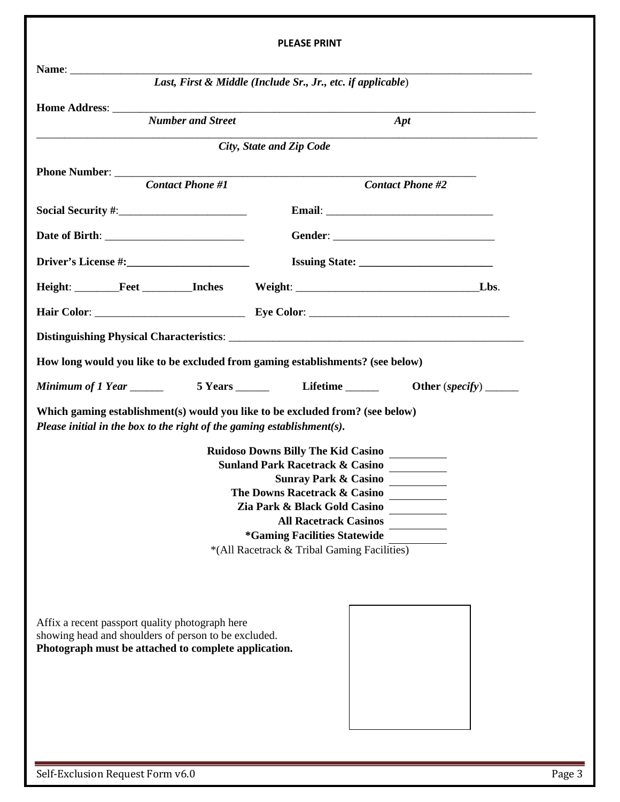|                                                                                                                                                                 | <b>PLEASE PRINT</b>                                                                                                                                                                                                                                                                                                     |  |
|-----------------------------------------------------------------------------------------------------------------------------------------------------------------|-------------------------------------------------------------------------------------------------------------------------------------------------------------------------------------------------------------------------------------------------------------------------------------------------------------------------|--|
|                                                                                                                                                                 |                                                                                                                                                                                                                                                                                                                         |  |
|                                                                                                                                                                 | Last, First & Middle (Include Sr., Jr., etc. if applicable)                                                                                                                                                                                                                                                             |  |
| <b>Number and Street</b>                                                                                                                                        | Apt                                                                                                                                                                                                                                                                                                                     |  |
|                                                                                                                                                                 | City, State and Zip Code                                                                                                                                                                                                                                                                                                |  |
|                                                                                                                                                                 |                                                                                                                                                                                                                                                                                                                         |  |
|                                                                                                                                                                 | <b>Contact Phone #2</b>                                                                                                                                                                                                                                                                                                 |  |
|                                                                                                                                                                 |                                                                                                                                                                                                                                                                                                                         |  |
|                                                                                                                                                                 |                                                                                                                                                                                                                                                                                                                         |  |
|                                                                                                                                                                 |                                                                                                                                                                                                                                                                                                                         |  |
|                                                                                                                                                                 | Height: Feet Inches Weight: Lbs.                                                                                                                                                                                                                                                                                        |  |
|                                                                                                                                                                 |                                                                                                                                                                                                                                                                                                                         |  |
|                                                                                                                                                                 |                                                                                                                                                                                                                                                                                                                         |  |
| How long would you like to be excluded from gaming establishments? (see below)                                                                                  |                                                                                                                                                                                                                                                                                                                         |  |
|                                                                                                                                                                 |                                                                                                                                                                                                                                                                                                                         |  |
| Which gaming establishment(s) would you like to be excluded from? (see below)<br>Please initial in the box to the right of the gaming establishment(s).         | <b>Ruidoso Downs Billy The Kid Casino</b><br><b>Sunland Park Racetrack &amp; Casino</b><br><b>Sunray Park &amp; Casino</b><br>The Downs Racetrack & Casino<br>Zia Park & Black Gold Casino<br><b>All Racetrack Casinos</b><br><i><b>*Gaming Facilities Statewide</b></i><br>*(All Racetrack & Tribal Gaming Facilities) |  |
| Affix a recent passport quality photograph here<br>showing head and shoulders of person to be excluded.<br>Photograph must be attached to complete application. |                                                                                                                                                                                                                                                                                                                         |  |

Self-Exclusion Request Form v6.0 Page 3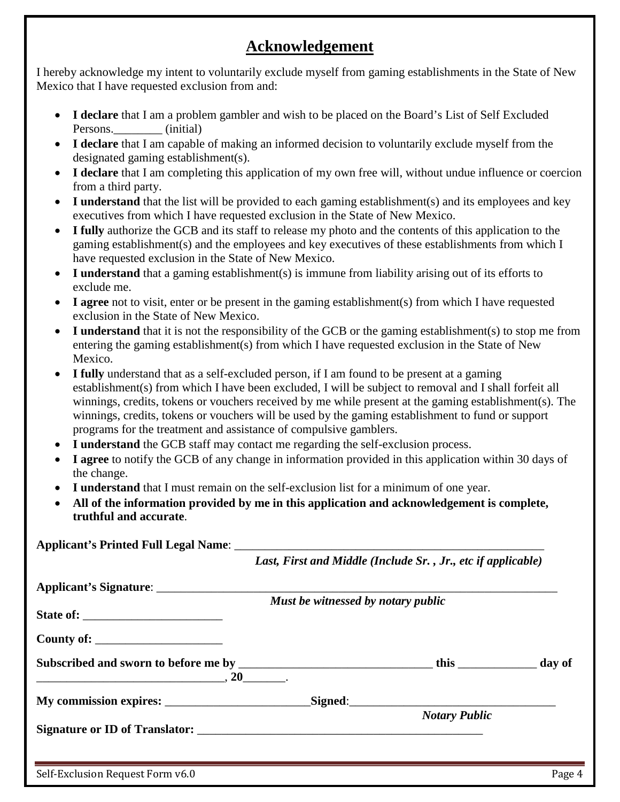#### **Acknowledgement**

I hereby acknowledge my intent to voluntarily exclude myself from gaming establishments in the State of New Mexico that I have requested exclusion from and:

- **I declare** that I am a problem gambler and wish to be placed on the Board's List of Self Excluded Persons.\_\_\_\_\_\_\_\_ (initial)
- **I declare** that I am capable of making an informed decision to voluntarily exclude myself from the designated gaming establishment(s).
- **I declare** that I am completing this application of my own free will, without undue influence or coercion from a third party.
- **I understand** that the list will be provided to each gaming establishment(s) and its employees and key executives from which I have requested exclusion in the State of New Mexico.
- **I fully** authorize the GCB and its staff to release my photo and the contents of this application to the gaming establishment(s) and the employees and key executives of these establishments from which I have requested exclusion in the State of New Mexico.
- **I understand** that a gaming establishment(s) is immune from liability arising out of its efforts to exclude me.
- **I agree** not to visit, enter or be present in the gaming establishment(s) from which I have requested exclusion in the State of New Mexico.
- **I understand** that it is not the responsibility of the GCB or the gaming establishment(s) to stop me from entering the gaming establishment(s) from which I have requested exclusion in the State of New Mexico.
- I fully understand that as a self-excluded person, if I am found to be present at a gaming establishment(s) from which I have been excluded, I will be subject to removal and I shall forfeit all winnings, credits, tokens or vouchers received by me while present at the gaming establishment(s). The winnings, credits, tokens or vouchers will be used by the gaming establishment to fund or support programs for the treatment and assistance of compulsive gamblers.
- **I understand** the GCB staff may contact me regarding the self-exclusion process.
- **I agree** to notify the GCB of any change in information provided in this application within 30 days of the change.
- **I understand** that I must remain on the self-exclusion list for a minimum of one year.
- **All of the information provided by me in this application and acknowledgement is complete, truthful and accurate**.

|                                                                                                           | Last, First and Middle (Include Sr., Jr., etc if applicable) |                      |        |
|-----------------------------------------------------------------------------------------------------------|--------------------------------------------------------------|----------------------|--------|
|                                                                                                           |                                                              |                      |        |
|                                                                                                           | Must be witnessed by notary public                           |                      |        |
|                                                                                                           |                                                              |                      |        |
| County of:                                                                                                |                                                              |                      |        |
| Subscribed and sworn to before me by _________________________________this _____________________day of    |                                                              |                      |        |
| $\overbrace{\hspace{2.5cm}}^{20}$ , $\overbrace{\hspace{2.5cm}}^{20}$ , $\overbrace{\hspace{2.5cm}}^{20}$ |                                                              |                      |        |
|                                                                                                           |                                                              | Signed:              |        |
|                                                                                                           |                                                              | <b>Notary Public</b> |        |
| Signature or ID of Translator:                                                                            |                                                              |                      |        |
|                                                                                                           |                                                              |                      |        |
| Self-Exclusion Request Form v6.0                                                                          |                                                              |                      | Page 4 |